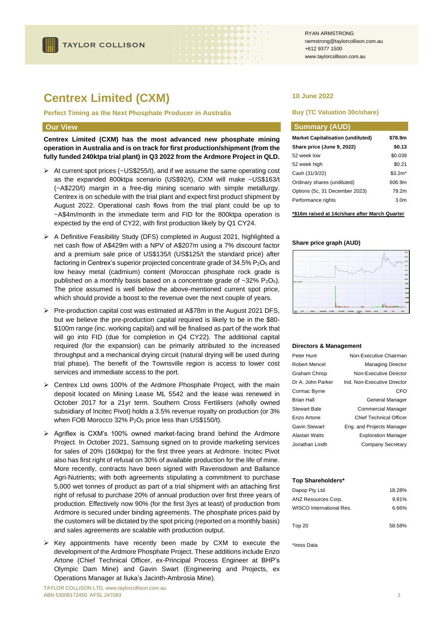# **Centrex Limited (CXM)**

**Perfect Timing as the Next Phosphate Producer in Australia**

#### **Our View**

**Centrex Limited (CXM) has the most advanced new phosphate mining operation in Australia and is on track for first production/shipment (from the fully funded 240ktpa trial plant) in Q3 2022 from the Ardmore Project in QLD.**

- ➢ At current spot prices (~US\$255/t), and if we assume the same operating cost as the expanded 800ktpa scenario (US\$92/t), CXM will make ~US\$163/t (~A\$220/t) margin in a free-dig mining scenario with simple metallurgy. Centrex is on schedule with the trial plant and expect first product shipment by August 2022. Operational cash flows from the trial plant could be up to ~A\$4m/month in the immediate term and FID for the 800ktpa operation is expected by the end of CY22, with first production likely by Q1 CY24.
- ➢ A Definitive Feasibility Study (DFS) completed in August 2021, highlighted a net cash flow of A\$429m with a NPV of A\$207m using a 7% discount factor and a premium sale price of US\$135/t (US\$125/t the standard price) after factoring in Centrex's superior projected concentrate grade of 34.5% P<sub>2</sub>O<sub>5</sub> and low heavy metal (cadmium) content (Moroccan phosphate rock grade is published on a monthly basis based on a concentrate grade of  $\sim$ 32% P<sub>2</sub>O<sub>5</sub>). The price assumed is well below the above-mentioned current spot price, which should provide a boost to the revenue over the next couple of years.
- ➢ Pre-production capital cost was estimated at A\$78m in the August 2021 DFS, but we believe the pre-production capital required is likely to be in the \$80- \$100m range (inc. working capital) and will be finalised as part of the work that will go into FID (due for completion in Q4 CY22). The additional capital required (for the expansion) can be primarily attributed to the increased throughput and a mechanical drying circuit (natural drying will be used during trial phase). The benefit of the Townsville region is access to lower cost services and immediate access to the port.
- ➢ Centrex Ltd owns 100% of the Ardmore Phosphate Project, with the main deposit located on Mining Lease ML 5542 and the lease was renewed in October 2017 for a 21yr term. Southern Cross Fertilisers (wholly owned subsidiary of Incitec Pivot) holds a 3.5% revenue royalty on production (or 3% when FOB Morocco 32%  $P_2O_5$  price less than US\$150/t).
- ➢ Agriflex is CXM's 100% owned market-facing brand behind the Ardmore Project. In October 2021, Samsung signed on to provide marketing services for sales of 20% (160ktpa) for the first three years at Ardmore. Incitec Pivot also has first right of refusal on 30% of available production for the life of mine. More recently, contracts have been signed with Ravensdown and Ballance Agri-Nutrients; with both agreements stipulating a commitment to purchase 5,000 wet tonnes of product as part of a trial shipment with an attaching first right of refusal to purchase 20% of annual production over first three years of production. Effectively now 90% (for the first 3yrs at least) of production from Ardmore is secured under binding agreements. The phosphate prices paid by the customers will be dictated by the spot pricing (reported on a monthly basis) and sales agreements are scalable with production output.
- ➢ Key appointments have recently been made by CXM to execute the development of the Ardmore Phosphate Project. These additions include Enzo Artone (Chief Technical Officer, ex-Principal Process Engineer at BHP's Olympic Dam Mine) and Gavin Swart (Engineering and Projects, ex Operations Manager at Iluka's Jacinth-Ambrosia Mine).

RYAN ARMSTRONG rarmstrong@taylorcollison.com.au +612 9377 1500 www.taylorcollison.com.au

### **10 June 2022**

#### **Buy (TC Valuation 30c/share)**

| <b>Summary (AUD)</b>                     |                  |
|------------------------------------------|------------------|
| <b>Market Capitalisation (undiluted)</b> | \$78.9m          |
| Share price (June 9, 2022)               | \$0.13           |
| 52 week low                              | \$0.039          |
| 52 week high                             | \$0.21           |
| Cash (31/3/22)                           | $$3.2m*$         |
| Ordinary shares (undiluted)              | 606.9m           |
| Options (5c, 31 December 2023)           | 79.2m            |
| Performance rights                       | 3.0 <sub>m</sub> |

**\*\$16m raised at 14c/share after March Quarter**

#### **Share price graph (AUD)**



#### **Directors & Management**

| Peter Hunt           | Non-Executive Chairman         |
|----------------------|--------------------------------|
| Robert Mencel        | <b>Managing Director</b>       |
| <b>Graham Chrisp</b> | Non-Executive Director         |
| Dr A. John Parker    | Ind. Non-Executive Director    |
| Cormac Byrne         | CFO                            |
| <b>Brian Hall</b>    | General Manager                |
| <b>Stewart Bale</b>  | <b>Commercial Manager</b>      |
| Enzo Artone          | <b>Chief Technical Officer</b> |
| Gavin Stewart        | Eng. and Projects Manager      |
| Alastair Watts       | <b>Exploration Manager</b>     |
| Jonathan Lindh       | <b>Company Secretary</b>       |

#### **Top Shareholders\***

| Dapop Pty Ltd.           | 18.28% |
|--------------------------|--------|
| ANZ Resources Corp.      | 9.81%  |
| WISCO International Res. | 6.66%  |
| Top 20                   | 58.58% |

\*Iress Data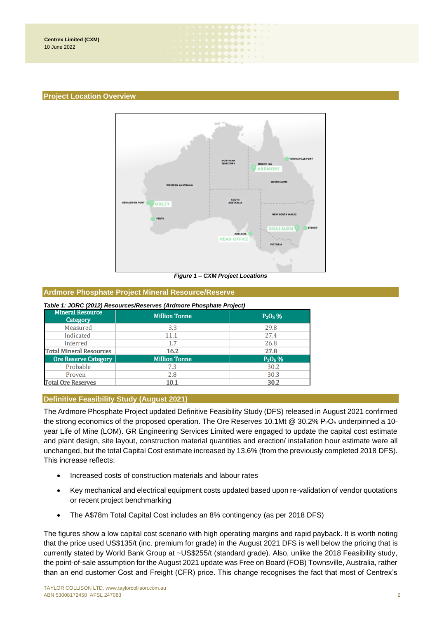#### **Project Location Overview**



 $\bullet\hspace{-0.7mm}\bullet\hspace{-0.7mm}\bullet\hspace{-0.7mm}\bullet\hspace{-0.7mm}\bullet\hspace{-0.7mm}\bullet$ . . . . . . 

*Figure 1 – CXM Project Locations*

#### **Ardmore Phosphate Project Mineral Resource/Reserve**

#### *Table 1: JORC (2012) Resources/Reserves (Ardmore Phosphate Project)*

| <b>Mineral Resource</b><br>Category | <b>Million Tonne</b> | $P_2O_5%$ |
|-------------------------------------|----------------------|-----------|
| Measured                            | 3.3                  | 29.8      |
| Indicated                           | 11.1                 | 27.4      |
| Inferred                            | 1.7                  | 26.8      |
| <b>Total Mineral Resources</b>      | 16.2                 | 27.8      |
| <b>Ore Reserve Category</b>         | <b>Million Tonne</b> | $P_2O_5%$ |
| Probable                            | 7.3                  | 30.2      |
| Proven                              | 2.8                  | 30.3      |
| <b>Total Ore Reserves</b>           | 10.1                 | 30.2      |

## **Definitive Feasibility Study (August 2021)**

The Ardmore Phosphate Project updated Definitive Feasibility Study (DFS) released in August 2021 confirmed the strong economics of the proposed operation. The Ore Reserves 10.1Mt @ 30.2%  $P_2O_5$  underpinned a 10year Life of Mine (LOM). GR Engineering Services Limited were engaged to update the capital cost estimate and plant design, site layout, construction material quantities and erection/ installation hour estimate were all unchanged, but the total Capital Cost estimate increased by 13.6% (from the previously completed 2018 DFS). This increase reflects:

- Increased costs of construction materials and labour rates
- Key mechanical and electrical equipment costs updated based upon re-validation of vendor quotations or recent project benchmarking
- The A\$78m Total Capital Cost includes an 8% contingency (as per 2018 DFS)

The figures show a low capital cost scenario with high operating margins and rapid payback. It is worth noting that the price used US\$135/t (inc. premium for grade) in the August 2021 DFS is well below the pricing that is currently stated by World Bank Group at ~US\$255/t (standard grade). Also, unlike the 2018 Feasibility study, the point-of-sale assumption for the August 2021 update was Free on Board (FOB) Townsville, Australia, rather than an end customer Cost and Freight (CFR) price. This change recognises the fact that most of Centrex's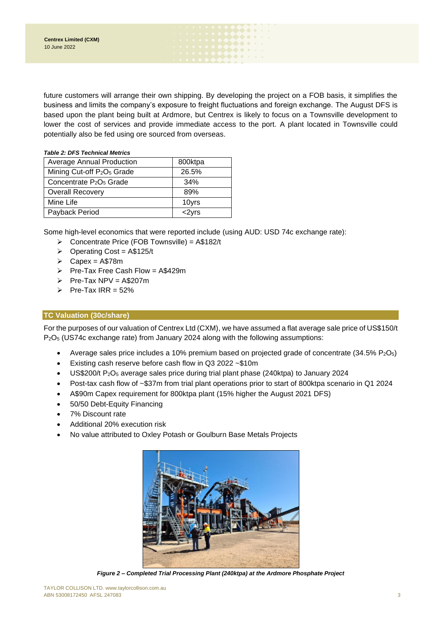future customers will arrange their own shipping. By developing the project on a FOB basis, it simplifies the business and limits the company's exposure to freight fluctuations and foreign exchange. The August DFS is based upon the plant being built at Ardmore, but Centrex is likely to focus on a Townsville development to lower the cost of services and provide immediate access to the port. A plant located in Townsville could potentially also be fed using ore sourced from overseas.

 $\begin{picture}(20,20) \put(0,0){\line(1,0){10}} \put(15,0){\line(1,0){10}} \put(15,0){\line(1,0){10}} \put(15,0){\line(1,0){10}} \put(15,0){\line(1,0){10}} \put(15,0){\line(1,0){10}} \put(15,0){\line(1,0){10}} \put(15,0){\line(1,0){10}} \put(15,0){\line(1,0){10}} \put(15,0){\line(1,0){10}} \put(15,0){\line(1,0){10}} \put(15,0){\line(1$ 

### *Table 2: DFS Technical Metrics*

| <b>Average Annual Production</b>                   | 800ktpa  |
|----------------------------------------------------|----------|
| Mining Cut-off P <sub>2</sub> O <sub>5</sub> Grade | 26.5%    |
| Concentrate $P_2O_5$ Grade                         | 34%      |
| <b>Overall Recovery</b>                            | 89%      |
| Mine Life                                          | 10yrs    |
| Payback Period                                     | $<$ 2yrs |

Some high-level economics that were reported include (using AUD: USD 74c exchange rate):

- ➢ Concentrate Price (FOB Townsville) = A\$182/t
- $\triangleright$  Operating Cost = A\$125/t
- $\triangleright$  Capex = A\$78m
- ➢ Pre-Tax Free Cash Flow = A\$429m
- $\triangleright$  Pre-Tax NPV = A\$207m
- $\triangleright$  Pre-Tax IRR = 52%

# **TC Valuation (30c/share)**

For the purposes of our valuation of Centrex Ltd (CXM), we have assumed a flat average sale price of US\$150/t P2O<sup>5</sup> (US74c exchange rate) from January 2024 along with the following assumptions:

- Average sales price includes a 10% premium based on projected grade of concentrate  $(34.5\% \text{ P}_2\text{O}_5)$
- Existing cash reserve before cash flow in Q3 2022 ~\$10m
- US\$200/t P2O<sup>5</sup> average sales price during trial plant phase (240ktpa) to January 2024
- Post-tax cash flow of ~\$37m from trial plant operations prior to start of 800ktpa scenario in Q1 2024
- A\$90m Capex requirement for 800ktpa plant (15% higher the August 2021 DFS)
- 50/50 Debt-Equity Financing
- 7% Discount rate
- Additional 20% execution risk
- No value attributed to Oxley Potash or Goulburn Base Metals Projects



*Figure 2 – Completed Trial Processing Plant (240ktpa) at the Ardmore Phosphate Project*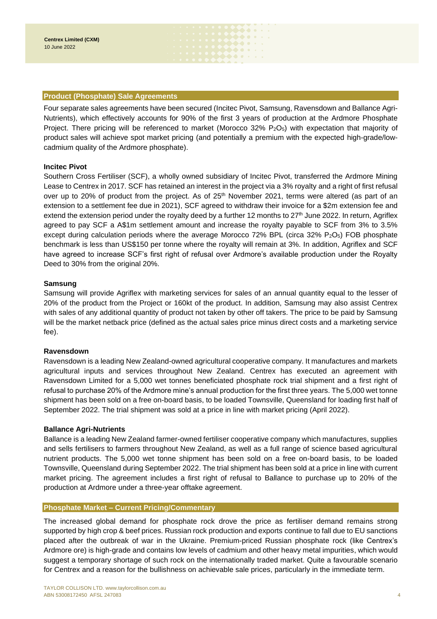### **Product (Phosphate) Sale Agreements**

Four separate sales agreements have been secured (Incitec Pivot, Samsung, Ravensdown and Ballance Agri-Nutrients), which effectively accounts for 90% of the first 3 years of production at the Ardmore Phosphate Project. There pricing will be referenced to market (Morocco  $32\%$  P<sub>2</sub>O<sub>5</sub>) with expectation that majority of product sales will achieve spot market pricing (and potentially a premium with the expected high-grade/lowcadmium quality of the Ardmore phosphate).

. . . . . . **boo**oon . . . .

### **Incitec Pivot**

Southern Cross Fertiliser (SCF), a wholly owned subsidiary of Incitec Pivot, transferred the Ardmore Mining Lease to Centrex in 2017. SCF has retained an interest in the project via a 3% royalty and a right of first refusal over up to 20% of product from the project. As of  $25<sup>th</sup>$  November 2021, terms were altered (as part of an extension to a settlement fee due in 2021), SCF agreed to withdraw their invoice for a \$2m extension fee and extend the extension period under the royalty deed by a further 12 months to 27<sup>th</sup> June 2022. In return, Agriflex agreed to pay SCF a A\$1m settlement amount and increase the royalty payable to SCF from 3% to 3.5% except during calculation periods where the average Morocco 72% BPL (circa 32%  $P_2O_5$ ) FOB phosphate benchmark is less than US\$150 per tonne where the royalty will remain at 3%. In addition, Agriflex and SCF have agreed to increase SCF's first right of refusal over Ardmore's available production under the Royalty Deed to 30% from the original 20%.

### **Samsung**

Samsung will provide Agriflex with marketing services for sales of an annual quantity equal to the lesser of 20% of the product from the Project or 160kt of the product. In addition, Samsung may also assist Centrex with sales of any additional quantity of product not taken by other off takers. The price to be paid by Samsung will be the market netback price (defined as the actual sales price minus direct costs and a marketing service fee).

### **Ravensdown**

Ravensdown is a leading New Zealand-owned agricultural cooperative company. It manufactures and markets agricultural inputs and services throughout New Zealand. Centrex has executed an agreement with Ravensdown Limited for a 5,000 wet tonnes beneficiated phosphate rock trial shipment and a first right of refusal to purchase 20% of the Ardmore mine's annual production for the first three years. The 5,000 wet tonne shipment has been sold on a free on-board basis, to be loaded Townsville, Queensland for loading first half of September 2022. The trial shipment was sold at a price in line with market pricing (April 2022).

### **Ballance Agri-Nutrients**

Ballance is a leading New Zealand farmer-owned fertiliser cooperative company which manufactures, supplies and sells fertilisers to farmers throughout New Zealand, as well as a full range of science based agricultural nutrient products. The 5,000 wet tonne shipment has been sold on a free on-board basis, to be loaded Townsville, Queensland during September 2022. The trial shipment has been sold at a price in line with current market pricing. The agreement includes a first right of refusal to Ballance to purchase up to 20% of the production at Ardmore under a three-year offtake agreement.

### **Phosphate Market – Current Pricing/Commentary**

The increased global demand for phosphate rock drove the price as fertiliser demand remains strong supported by high crop & beef prices. Russian rock production and exports continue to fall due to EU sanctions placed after the outbreak of war in the Ukraine. Premium-priced Russian phosphate rock (like Centrex's Ardmore ore) is high-grade and contains low levels of cadmium and other heavy metal impurities, which would suggest a temporary shortage of such rock on the internationally traded market. Quite a favourable scenario for Centrex and a reason for the bullishness on achievable sale prices, particularly in the immediate term.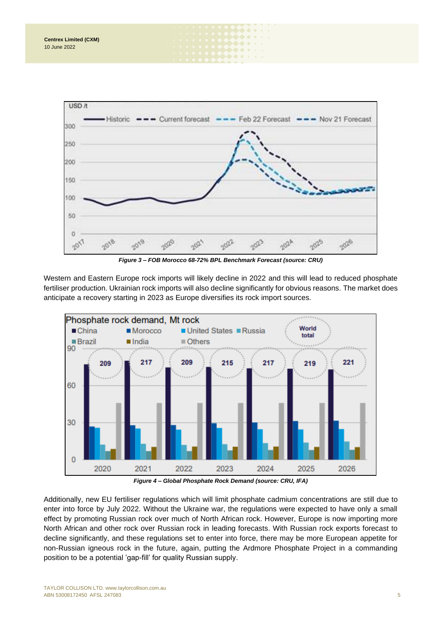

 $\begin{array}{ccc}\n\bullet & \bullet & \bullet & \bullet\n\end{array}$  $\begin{picture}(20,20) \put(0,0){\line(1,0){10}} \put(15,0){\line(1,0){10}} \put(15,0){\line(1,0){10}} \put(15,0){\line(1,0){10}} \put(15,0){\line(1,0){10}} \put(15,0){\line(1,0){10}} \put(15,0){\line(1,0){10}} \put(15,0){\line(1,0){10}} \put(15,0){\line(1,0){10}} \put(15,0){\line(1,0){10}} \put(15,0){\line(1,0){10}} \put(15,0){\line(1$  $\bullet\bullet\bullet\bullet$ 

*Figure 3 – FOB Morocco 68-72% BPL Benchmark Forecast (source: CRU)*

Western and Eastern Europe rock imports will likely decline in 2022 and this will lead to reduced phosphate fertiliser production. Ukrainian rock imports will also decline significantly for obvious reasons. The market does anticipate a recovery starting in 2023 as Europe diversifies its rock import sources.



*Figure 4 – Global Phosphate Rock Demand (source: CRU, IFA)*

Additionally, new EU fertiliser regulations which will limit phosphate cadmium concentrations are still due to enter into force by July 2022. Without the Ukraine war, the regulations were expected to have only a small effect by promoting Russian rock over much of North African rock. However, Europe is now importing more North African and other rock over Russian rock in leading forecasts. With Russian rock exports forecast to decline significantly, and these regulations set to enter into force, there may be more European appetite for non-Russian igneous rock in the future, again, putting the Ardmore Phosphate Project in a commanding position to be a potential 'gap-fill' for quality Russian supply.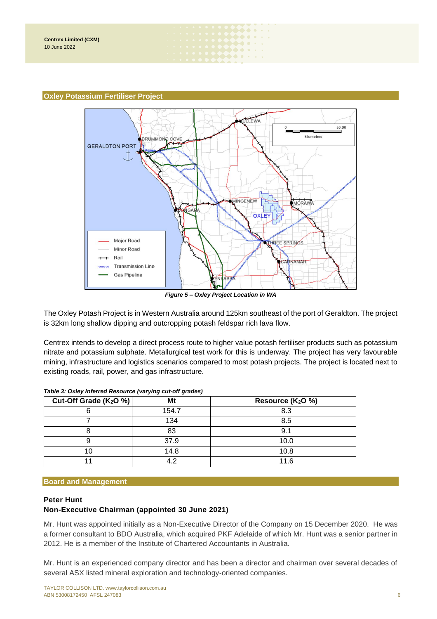### **Oxley Potassium Fertiliser Project**



 $\blacktriangleright\blacklozenge\blacklozenge\blacktriangleright$  $\begin{picture}(20,20) \put(0,0){\vector(0,1){10}} \put(15,0){\vector(0,1){10}} \put(15,0){\vector(0,1){10}} \put(15,0){\vector(0,1){10}} \put(15,0){\vector(0,1){10}} \put(15,0){\vector(0,1){10}} \put(15,0){\vector(0,1){10}} \put(15,0){\vector(0,1){10}} \put(15,0){\vector(0,1){10}} \put(15,0){\vector(0,1){10}} \put(15,0){\vector(0,1){10}} \put(15,0){\vector(0$  $\bullet\bullet\bullet\bullet\;\cdot\;\cdot$ 

*Figure 5 – Oxley Project Location in WA*

The Oxley Potash Project is in Western Australia around 125km southeast of the port of Geraldton. The project is 32km long shallow dipping and outcropping potash feldspar rich lava flow.

Centrex intends to develop a direct process route to higher value potash fertiliser products such as potassium nitrate and potassium sulphate. Metallurgical test work for this is underway. The project has very favourable mining, infrastructure and logistics scenarios compared to most potash projects. The project is located next to existing roads, rail, power, and gas infrastructure.

| Cut-Off Grade ( $K_2O\%$ ) | Mt    | Resource $(K_2O \%)$ |
|----------------------------|-------|----------------------|
|                            | 154.7 | 8.3                  |
|                            | 134   | 8.5                  |
|                            | 83    | 9.1                  |
|                            | 37.9  | 10.0                 |
|                            | 14.8  | 10.8                 |
|                            |       | 11.6                 |

### **Board and Management**

### **Peter Hunt Non-Executive Chairman (appointed 30 June 2021)**

Mr. Hunt was appointed initially as a Non-Executive Director of the Company on 15 December 2020. He was a former consultant to BDO Australia, which acquired PKF Adelaide of which Mr. Hunt was a senior partner in 2012. He is a member of the Institute of Chartered Accountants in Australia.

Mr. Hunt is an experienced company director and has been a director and chairman over several decades of several ASX listed mineral exploration and technology-oriented companies.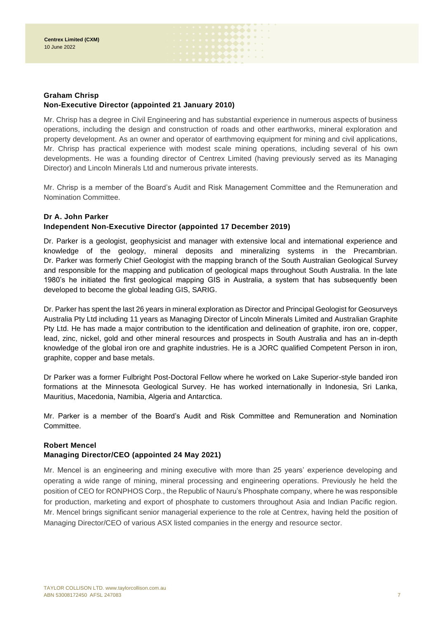# **Graham Chrisp Non-Executive Director (appointed 21 January 2010)**

Mr. Chrisp has a degree in Civil Engineering and has substantial experience in numerous aspects of business operations, including the design and construction of roads and other earthworks, mineral exploration and property development. As an owner and operator of earthmoving equipment for mining and civil applications, Mr. Chrisp has practical experience with modest scale mining operations, including several of his own developments. He was a founding director of Centrex Limited (having previously served as its Managing Director) and Lincoln Minerals Ltd and numerous private interests.

 $\bullet\bullet\bullet\bullet\bullet$ **DOOD OF A** . . . . . .

Mr. Chrisp is a member of the Board's Audit and Risk Management Committee and the Remuneration and Nomination Committee.

# **Dr A. John Parker**

# **Independent Non-Executive Director (appointed 17 December 2019)**

Dr. Parker is a geologist, geophysicist and manager with extensive local and international experience and knowledge of the geology, mineral deposits and mineralizing systems in the Precambrian. Dr. Parker was formerly Chief Geologist with the mapping branch of the South Australian Geological Survey and responsible for the mapping and publication of geological maps throughout South Australia. In the late 1980's he initiated the first geological mapping GIS in Australia, a system that has subsequently been developed to become the global leading GIS, SARIG.

Dr. Parker has spent the last 26 years in mineral exploration as Director and Principal Geologist for Geosurveys Australia Pty Ltd including 11 years as Managing Director of Lincoln Minerals Limited and Australian Graphite Pty Ltd. He has made a major contribution to the identification and delineation of graphite, iron ore, copper, lead, zinc, nickel, gold and other mineral resources and prospects in South Australia and has an in-depth knowledge of the global iron ore and graphite industries. He is a JORC qualified Competent Person in iron, graphite, copper and base metals.

Dr Parker was a former Fulbright Post-Doctoral Fellow where he worked on Lake Superior-style banded iron formations at the Minnesota Geological Survey. He has worked internationally in Indonesia, Sri Lanka, Mauritius, Macedonia, Namibia, Algeria and Antarctica.

Mr. Parker is a member of the Board's Audit and Risk Committee and Remuneration and Nomination Committee.

# **Robert Mencel**

# **Managing Director/CEO (appointed 24 May 2021)**

Mr. Mencel is an engineering and mining executive with more than 25 years' experience developing and operating a wide range of mining, mineral processing and engineering operations. Previously he held the position of CEO for RONPHOS Corp., the Republic of Nauru's Phosphate company, where he was responsible for production, marketing and export of phosphate to customers throughout Asia and Indian Pacific region. Mr. Mencel brings significant senior managerial experience to the role at Centrex, having held the position of Managing Director/CEO of various ASX listed companies in the energy and resource sector.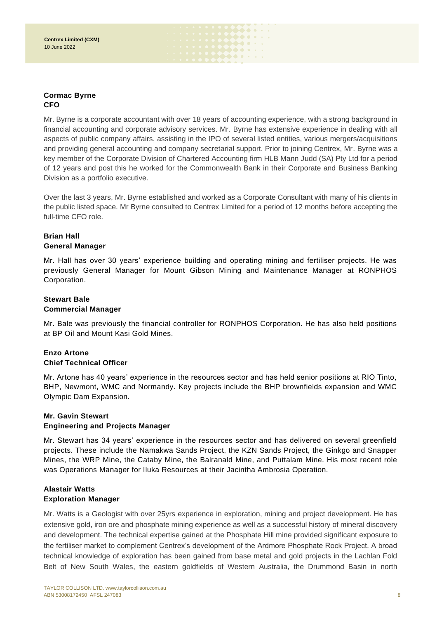# **Cormac Byrne CFO**

Mr. Byrne is a corporate accountant with over 18 years of accounting experience, with a strong background in financial accounting and corporate advisory services. Mr. Byrne has extensive experience in dealing with all aspects of public company affairs, assisting in the IPO of several listed entities, various mergers/acquisitions and providing general accounting and company secretarial support. Prior to joining Centrex, Mr. Byrne was a key member of the Corporate Division of Chartered Accounting firm HLB Mann Judd (SA) Pty Ltd for a period of 12 years and post this he worked for the Commonwealth Bank in their Corporate and Business Banking Division as a portfolio executive.

 $\begin{picture}(20,20) \put(0,0){\vector(0,1){10}} \put(15,0){\vector(0,1){10}} \put(15,0){\vector(0,1){10}} \put(15,0){\vector(0,1){10}} \put(15,0){\vector(0,1){10}} \put(15,0){\vector(0,1){10}} \put(15,0){\vector(0,1){10}} \put(15,0){\vector(0,1){10}} \put(15,0){\vector(0,1){10}} \put(15,0){\vector(0,1){10}} \put(15,0){\vector(0,1){10}} \put(15,0){\vector(0$ **DOOD OF A . . . . . .** 

Over the last 3 years, Mr. Byrne established and worked as a Corporate Consultant with many of his clients in the public listed space. Mr Byrne consulted to Centrex Limited for a period of 12 months before accepting the full-time CFO role.

# **Brian Hall General Manager**

Mr. Hall has over 30 years' experience building and operating mining and fertiliser projects. He was previously General Manager for Mount Gibson Mining and Maintenance Manager at RONPHOS Corporation.

# **Stewart Bale Commercial Manager**

Mr. Bale was previously the financial controller for RONPHOS Corporation. He has also held positions at BP Oil and Mount Kasi Gold Mines.

# **Enzo Artone Chief Technical Officer**

Mr. Artone has 40 years' experience in the resources sector and has held senior positions at RIO Tinto, BHP, Newmont, WMC and Normandy. Key projects include the BHP brownfields expansion and WMC Olympic Dam Expansion.

# **Mr. Gavin Stewart Engineering and Projects Manager**

Mr. Stewart has 34 years' experience in the resources sector and has delivered on several greenfield projects. These include the Namakwa Sands Project, the KZN Sands Project, the Ginkgo and Snapper Mines, the WRP Mine, the Cataby Mine, the Balranald Mine, and Puttalam Mine. His most recent role was Operations Manager for Iluka Resources at their Jacintha Ambrosia Operation.

# **Alastair Watts Exploration Manager**

Mr. Watts is a Geologist with over 25yrs experience in exploration, mining and project development. He has extensive gold, iron ore and phosphate mining experience as well as a successful history of mineral discovery and development. The technical expertise gained at the Phosphate Hill mine provided significant exposure to the fertiliser market to complement Centrex's development of the Ardmore Phosphate Rock Project. A broad technical knowledge of exploration has been gained from base metal and gold projects in the Lachlan Fold Belt of New South Wales, the eastern goldfields of Western Australia, the Drummond Basin in north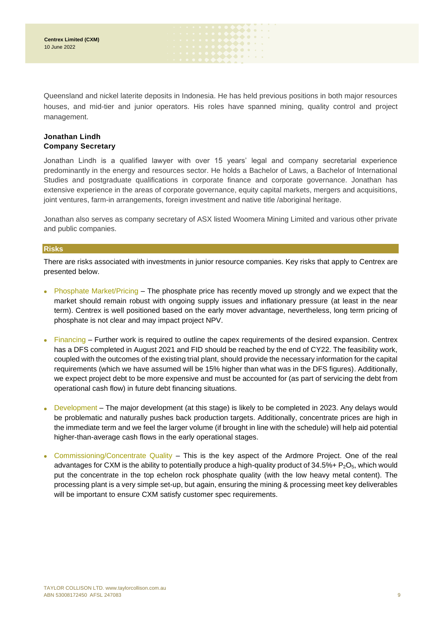Queensland and nickel laterite deposits in Indonesia. He has held previous positions in both major resources houses, and mid-tier and junior operators. His roles have spanned mining, quality control and project management.

 $\begin{array}{ccc} \bullet & \bullet & \bullet & \bullet & \bullet \end{array}$ . . . . . . . . . . .

# **Jonathan Lindh Company Secretary**

Jonathan Lindh is a qualified lawyer with over 15 years' legal and company secretarial experience predominantly in the energy and resources sector. He holds a Bachelor of Laws, a Bachelor of International Studies and postgraduate qualifications in corporate finance and corporate governance. Jonathan has extensive experience in the areas of corporate governance, equity capital markets, mergers and acquisitions, joint ventures, farm-in arrangements, foreign investment and native title /aboriginal heritage.

Jonathan also serves as company secretary of ASX listed Woomera Mining Limited and various other private and public companies.

### **Risks**

There are risks associated with investments in junior resource companies. Key risks that apply to Centrex are presented below.

- Phosphate Market/Pricing The phosphate price has recently moved up strongly and we expect that the market should remain robust with ongoing supply issues and inflationary pressure (at least in the near term). Centrex is well positioned based on the early mover advantage, nevertheless, long term pricing of phosphate is not clear and may impact project NPV.
- Financing Further work is required to outline the capex requirements of the desired expansion. Centrex has a DFS completed in August 2021 and FID should be reached by the end of CY22. The feasibility work, coupled with the outcomes of the existing trial plant, should provide the necessary information for the capital requirements (which we have assumed will be 15% higher than what was in the DFS figures). Additionally, we expect project debt to be more expensive and must be accounted for (as part of servicing the debt from operational cash flow) in future debt financing situations.
- Development The major development (at this stage) is likely to be completed in 2023. Any delays would be problematic and naturally pushes back production targets. Additionally, concentrate prices are high in the immediate term and we feel the larger volume (if brought in line with the schedule) will help aid potential higher-than-average cash flows in the early operational stages.
- Commissioning/Concentrate Quality This is the key aspect of the Ardmore Project. One of the real advantages for CXM is the ability to potentially produce a high-quality product of  $34.5\% + P_2O_5$ , which would put the concentrate in the top echelon rock phosphate quality (with the low heavy metal content). The processing plant is a very simple set-up, but again, ensuring the mining & processing meet key deliverables will be important to ensure CXM satisfy customer spec requirements.